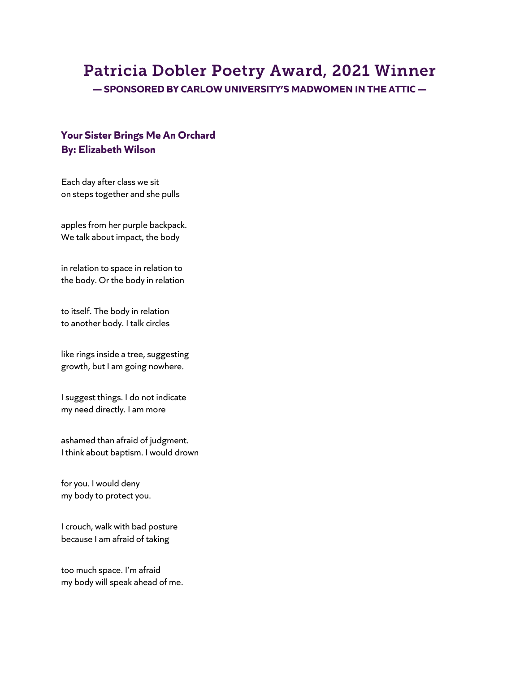# Patricia Dobler Poetry Award, 2021 Winner

**— SPONSORED BY CARLOW UNIVERSITY'S MADWOMEN IN THE ATTIC —**

## **Your Sister Brings Me An Orchard By: Elizabeth Wilson**

Each day after class we sit on steps together and she pulls

apples from her purple backpack. We talk about impact, the body

in relation to space in relation to the body. Or the body in relation

to itself. The body in relation to another body. I talk circles

like rings inside a tree, suggesting growth, but I am going nowhere.

I suggest things. I do not indicate my need directly. I am more

ashamed than afraid of judgment. I think about baptism. I would drown

for you. I would deny my body to protect you.

I crouch, walk with bad posture because I am afraid of taking

too much space. I'm afraid my body will speak ahead of me.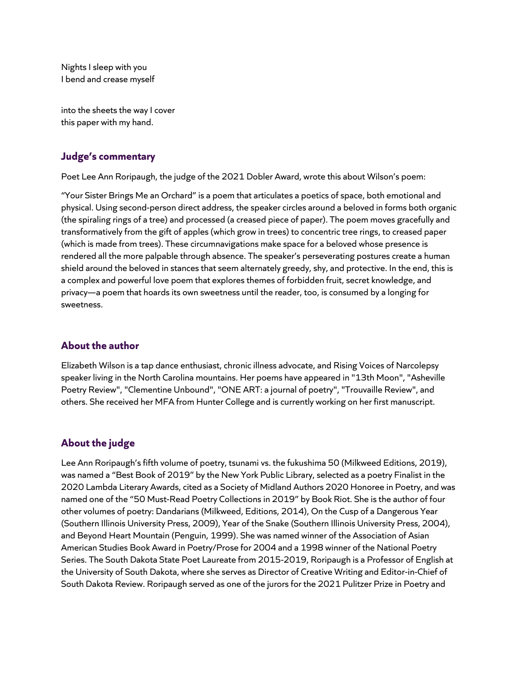Nights I sleep with you I bend and crease myself

into the sheets the way I cover this paper with my hand.

#### **Judge's commentary**

Poet Lee Ann Roripaugh, the judge of the 2021 Dobler Award, wrote this about Wilson's poem:

"Your Sister Brings Me an Orchard" is a poem that articulates a poetics of space, both emotional and physical. Using second-person direct address, the speaker circles around a beloved in forms both organic (the spiraling rings of a tree) and processed (a creased piece of paper). The poem moves gracefully and transformatively from the gift of apples (which grow in trees) to concentric tree rings, to creased paper (which is made from trees). These circumnavigations make space for a beloved whose presence is rendered all the more palpable through absence. The speaker's perseverating postures create a human shield around the beloved in stances that seem alternately greedy, shy, and protective. In the end, this is a complex and powerful love poem that explores themes of forbidden fruit, secret knowledge, and privacy—a poem that hoards its own sweetness until the reader, too, is consumed by a longing for sweetness.

### **About the author**

Elizabeth Wilson is a tap dance enthusiast, chronic illness advocate, and Rising Voices of Narcolepsy speaker living in the North Carolina mountains. Her poems have appeared in "13th Moon", "Asheville Poetry Review", "Clementine Unbound", "ONE ART: a journal of poetry", "Trouvaille Review", and others. She received her MFA from Hunter College and is currently working on her first manuscript.

### **About the judge**

Lee Ann Roripaugh's fifth volume of poetry, tsunami vs. the fukushima 50 (Milkweed Editions, 2019), was named a "Best Book of 2019" by the New York Public Library, selected as a poetry Finalist in the 2020 Lambda Literary Awards, cited as a Society of Midland Authors 2020 Honoree in Poetry, and was named one of the "50 Must-Read Poetry Collections in 2019" by Book Riot. She is the author of four other volumes of poetry: Dandarians (Milkweed, Editions, 2014), On the Cusp of a Dangerous Year (Southern Illinois University Press, 2009), Year of the Snake (Southern Illinois University Press, 2004), and Beyond Heart Mountain (Penguin, 1999). She was named winner of the Association of Asian American Studies Book Award in Poetry/Prose for 2004 and a 1998 winner of the National Poetry Series. The South Dakota State Poet Laureate from 2015-2019, Roripaugh is a Professor of English at the University of South Dakota, where she serves as Director of Creative Writing and Editor-in-Chief of South Dakota Review. Roripaugh served as one of the jurors for the 2021 Pulitzer Prize in Poetry and